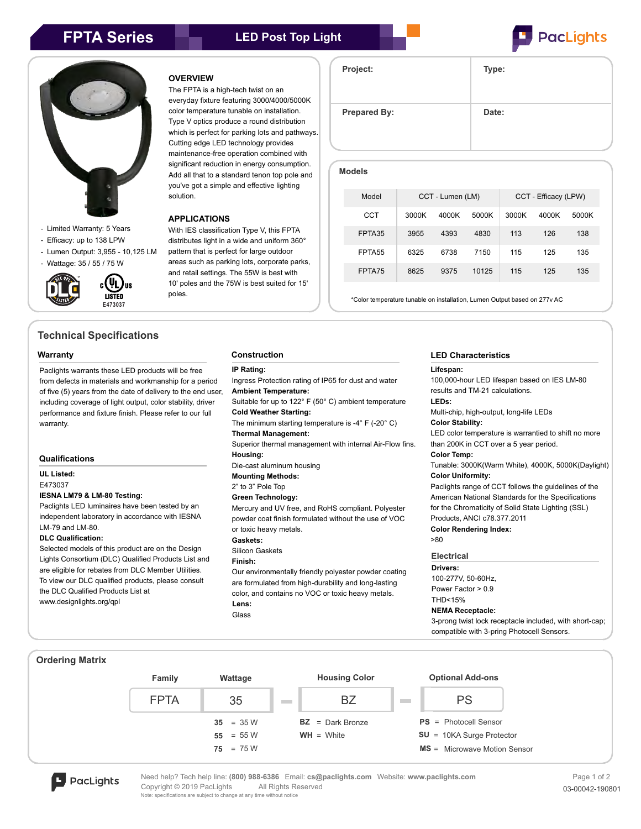



- Limited Warranty: 5 Years
- Efficacy: up to 138 LPW
- Lumen Output: 3,955 10,125 LM

(VL) lıs

- Wattage: 35 / 55 / 75 W



**Technical Specifications**

#### **Warranty**

Paclights warrants these LED products will be free from defects in materials and workmanship for a period of five (5) years from the date of delivery to the end user, including coverage of light output, color stability, driver performance and fixture finish. Please refer to our full warranty.

#### **Qualifications**

**UL Listed:**

E473037

## **IESNA LM79 & LM-80 Testing:**

Paclights LED luminaires have been tested by an independent laboratory in accordance with IESNA LM-79 and LM-80.

#### **DLC Qualification:**

Selected models of this product are on the Design Lights Consortium (DLC) Qualified Products List and are eligible for rebates from DLC Member Utilities. To view our DLC qualified products, please consult the DLC Qualified Products List at www.designlights.org/qpl

### **OVERVIEW**

The FPTA is a high-tech twist on an everyday fixture featuring 3000/4000/5000K color temperature tunable on installation. Type V optics produce a round distribution which is perfect for parking lots and pathways. Cutting edge LED technology provides maintenance-free operation combined with significant reduction in energy consumption. Add all that to a standard tenon top pole and you've got a simple and effective lighting solution.

#### **APPLICATIONS**

With IES classification Type V, this FPTA distributes light in a wide and uniform 360° pattern that is perfect for large outdoor areas such as parking lots, corporate parks, and retail settings. The 55W is best with 10' poles and the 75W is best suited for 15' poles.

| . .                 |       |  |  |
|---------------------|-------|--|--|
| Project:            | Type: |  |  |
| <b>Prepared By:</b> | Date: |  |  |

| <b>Models</b> |                    |                  |       |       |                      |       |       |  |  |
|---------------|--------------------|------------------|-------|-------|----------------------|-------|-------|--|--|
|               | Model              | CCT - Lumen (LM) |       |       | CCT - Efficacy (LPW) |       |       |  |  |
|               | CCT                | 3000K            | 4000K | 5000K | 3000K                | 4000K | 5000K |  |  |
|               | FPTA35             | 3955             | 4393  | 4830  | 113                  | 126   | 138   |  |  |
|               | FPTA <sub>55</sub> | 6325             | 6738  | 7150  | 115                  | 125   | 135   |  |  |
|               | FPTA75             | 8625             | 9375  | 10125 | 115                  | 125   | 135   |  |  |

\*Color temperature tunable on installation, Lumen Output based on 277v AC

#### **Construction**

#### **IP Rating:**

Ingress Protection rating of IP65 for dust and water **Ambient Temperature:** Suitable for up to 122° F (50° C) ambient temperature **Cold Weather Starting:** The minimum starting temperature is -4° F (-20° C) **Thermal Management:** Superior thermal management with internal Air-Flow fins. **Housing:** Die-cast aluminum housing **Mounting Methods:** 2" to 3" Pole Top **Green Technology:** Mercury and UV free, and RoHS compliant. Polyester powder coat finish formulated without the use of VOC or toxic heavy metals. **Gaskets:** Silicon Gaskets **Finish:** Our environmentally friendly polyester powder coating

are formulated from high-durability and long-lasting color, and contains no VOC or toxic heavy metals. **Lens:** Glass

## **LED Characteristics**

## **Lifespan:**

**Electrical Drivers:** 100-277V, 50-60Hz, Power Factor > 0.9 THD<15% **NEMA Receptacle:**  3-prong twist lock receptacle included, with short-cap; compatible with 3-pring Photocell Sensors. 100,000-hour LED lifespan based on IES LM-80 results and TM-21 calculations. **LEDs:** Multi-chip, high-output, long-life LEDs **Color Stability:** LED color temperature is warrantied to shift no more than 200K in CCT over a 5 year period. **Color Temp:** Tunable: 3000K(Warm White), 4000K, 5000K(Daylight) **Color Uniformity:** Paclights range of CCT follows the guidelines of the American National Standards for the Specifications for the Chromaticity of Solid State Lighting (SSL) Products, ANCI c78.377.2011 **Color Rendering Index:**  >80

#### **Ordering Matrix**



**D** PacLights

Need help? Tech help line: **(800) 988-6386** Email: **cs@paclights.com** Website: **www.paclights.com** Copyright © 2019 PacLights All Rights Reserved **03-00042-190801** 03-00042-190801 Note: specifications are subject to change at any time without notice